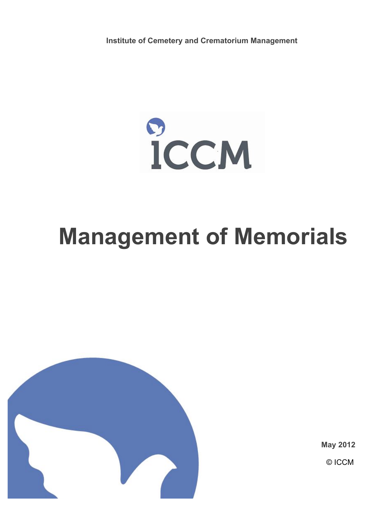**Institute of Cemetery and Crematorium Management**

 $\mathbf{C}$ **ICCM** 

# **Management of Memorials**



**May 2012**

© ICCM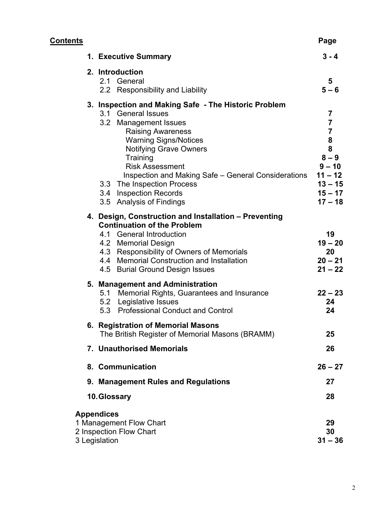| <u>Contents</u> |             |                                                                                                                                                                                                                                                                                                                                                                            | Page                                                                                                                       |
|-----------------|-------------|----------------------------------------------------------------------------------------------------------------------------------------------------------------------------------------------------------------------------------------------------------------------------------------------------------------------------------------------------------------------------|----------------------------------------------------------------------------------------------------------------------------|
|                 |             | 1. Executive Summary                                                                                                                                                                                                                                                                                                                                                       | $3 - 4$                                                                                                                    |
|                 |             | 2. Introduction<br>2.1 General<br>2.2 Responsibility and Liability                                                                                                                                                                                                                                                                                                         | 5<br>$5 - 6$                                                                                                               |
|                 |             | 3. Inspection and Making Safe - The Historic Problem<br>3.1 General Issues<br>3.2 Management Issues<br><b>Raising Awareness</b><br><b>Warning Signs/Notices</b><br>Notifying Grave Owners<br>Training<br><b>Risk Assessment</b><br>Inspection and Making Safe – General Considerations<br>3.3 The Inspection Process<br>3.4 Inspection Records<br>3.5 Analysis of Findings | 7<br>$\overline{7}$<br>$\overline{7}$<br>8<br>8<br>$8 - 9$<br>$9 - 10$<br>$11 - 12$<br>$13 - 15$<br>$15 - 17$<br>$17 - 18$ |
|                 |             | 4. Design, Construction and Installation - Preventing<br><b>Continuation of the Problem</b><br>4.1 General Introduction<br>4.2 Memorial Design<br>4.3 Responsibility of Owners of Memorials<br>4.4 Memorial Construction and Installation<br>4.5 Burial Ground Design Issues                                                                                               | 19<br>$19 - 20$<br>20<br>$20 - 21$<br>$21 - 22$                                                                            |
|                 |             | 5. Management and Administration<br>5.1 Memorial Rights, Guarantees and Insurance<br>5.2 Legislative Issues<br>5.3 Professional Conduct and Control                                                                                                                                                                                                                        | $22 - 23$<br>24<br>24                                                                                                      |
|                 |             | 6. Registration of Memorial Masons<br>The British Register of Memorial Masons (BRAMM)                                                                                                                                                                                                                                                                                      | 25                                                                                                                         |
|                 |             | 7. Unauthorised Memorials                                                                                                                                                                                                                                                                                                                                                  | 26                                                                                                                         |
|                 |             | 8. Communication                                                                                                                                                                                                                                                                                                                                                           | $26 - 27$                                                                                                                  |
|                 |             | 9. Management Rules and Regulations                                                                                                                                                                                                                                                                                                                                        | 27                                                                                                                         |
|                 | 10.Glossary |                                                                                                                                                                                                                                                                                                                                                                            |                                                                                                                            |
|                 |             | <b>Appendices</b><br>1 Management Flow Chart<br>2 Inspection Flow Chart<br>3 Legislation                                                                                                                                                                                                                                                                                   | 29<br>30<br>$31 - 36$                                                                                                      |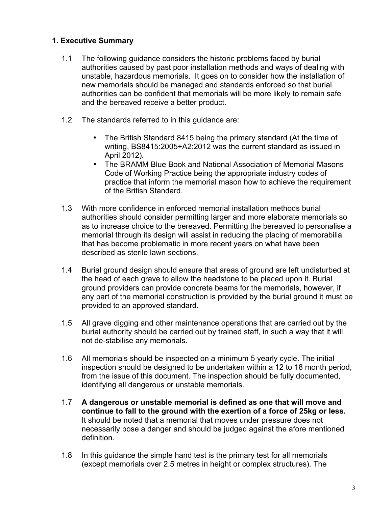# **1. Executive Summary**

- 1.1 The following guidance considers the historic problems faced by burial authorities caused by past poor installation methods and ways of dealing with unstable, hazardous memorials. It goes on to consider how the installation of new memorials should be managed and standards enforced so that burial authorities can be confident that memorials will be more likely to remain safe and the bereaved receive a better product.
- 1.2 The standards referred to in this guidance are:
	- The British Standard 8415 being the primary standard (At the time of writing, BS8415:2005+A2:2012 was the current standard as issued in April 2012).
	- The BRAMM Blue Book and National Association of Memorial Masons Code of Working Practice being the appropriate industry codes of practice that inform the memorial mason how to achieve the requirement of the British Standard.
- 1.3 With more confidence in enforced memorial installation methods burial authorities should consider permitting larger and more elaborate memorials so as to increase choice to the bereaved. Permitting the bereaved to personalise a memorial through its design will assist in reducing the placing of memorabilia that has become problematic in more recent years on what have been described as sterile lawn sections.
- 1.4 Burial ground design should ensure that areas of ground are left undisturbed at the head of each grave to allow the headstone to be placed upon it. Burial ground providers can provide concrete beams for the memorials, however, if any part of the memorial construction is provided by the burial ground it must be provided to an approved standard.
- 1.5 All grave digging and other maintenance operations that are carried out by the burial authority should be carried out by trained staff, in such a way that it will not de-stabilise any memorials.
- 1.6 All memorials should be inspected on a minimum 5 yearly cycle. The initial inspection should be designed to be undertaken within a 12 to 18 month period, from the issue of this document. The inspection should be fully documented, identifying all dangerous or unstable memorials.
- 1.7 **A dangerous or unstable memorial is defined as one that will move and continue to fall to the ground with the exertion of a force of 25kg or less.** It should be noted that a memorial that moves under pressure does not necessarily pose a danger and should be judged against the afore mentioned definition.
- 1.8 In this guidance the simple hand test is the primary test for all memorials (except memorials over 2.5 metres in height or complex structures). The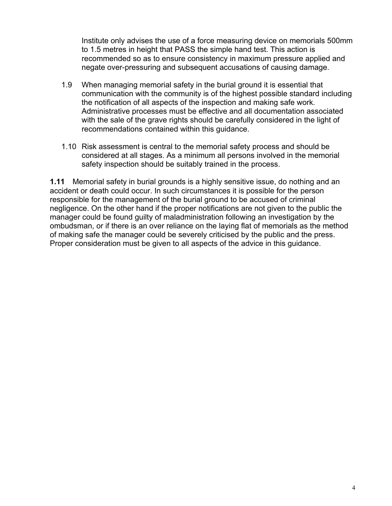Institute only advises the use of a force measuring device on memorials 500mm to 1.5 metres in height that PASS the simple hand test. This action is recommended so as to ensure consistency in maximum pressure applied and negate over-pressuring and subsequent accusations of causing damage.

- 1.9 When managing memorial safety in the burial ground it is essential that communication with the community is of the highest possible standard including the notification of all aspects of the inspection and making safe work. Administrative processes must be effective and all documentation associated with the sale of the grave rights should be carefully considered in the light of recommendations contained within this guidance.
- 1.10 Risk assessment is central to the memorial safety process and should be considered at all stages. As a minimum all persons involved in the memorial safety inspection should be suitably trained in the process.

**1.11** Memorial safety in burial grounds is a highly sensitive issue, do nothing and an accident or death could occur. In such circumstances it is possible for the person responsible for the management of the burial ground to be accused of criminal negligence. On the other hand if the proper notifications are not given to the public the manager could be found guilty of maladministration following an investigation by the ombudsman, or if there is an over reliance on the laying flat of memorials as the method of making safe the manager could be severely criticised by the public and the press. Proper consideration must be given to all aspects of the advice in this guidance.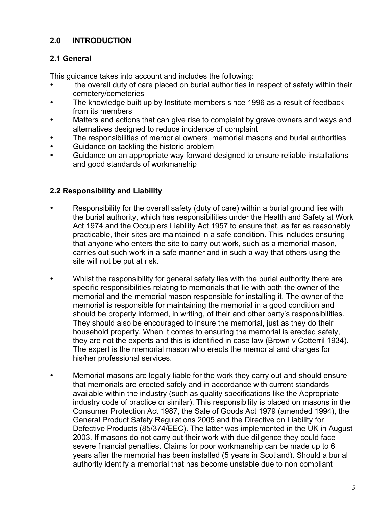# **2.0 INTRODUCTION**

# **2.1 General**

This guidance takes into account and includes the following:

- the overall duty of care placed on burial authorities in respect of safety within their cemetery/cemeteries
- The knowledge built up by Institute members since 1996 as a result of feedback from its members
- Matters and actions that can give rise to complaint by grave owners and ways and alternatives designed to reduce incidence of complaint
- The responsibilities of memorial owners, memorial masons and burial authorities
- Guidance on tackling the historic problem
- Guidance on an appropriate way forward designed to ensure reliable installations and good standards of workmanship

# **2.2 Responsibility and Liability**

- Responsibility for the overall safety (duty of care) within a burial ground lies with the burial authority, which has responsibilities under the Health and Safety at Work Act 1974 and the Occupiers Liability Act 1957 to ensure that, as far as reasonably practicable, their sites are maintained in a safe condition. This includes ensuring that anyone who enters the site to carry out work, such as a memorial mason, carries out such work in a safe manner and in such a way that others using the site will not be put at risk.
- Whilst the responsibility for general safety lies with the burial authority there are specific responsibilities relating to memorials that lie with both the owner of the memorial and the memorial mason responsible for installing it. The owner of the memorial is responsible for maintaining the memorial in a good condition and should be properly informed, in writing, of their and other party's responsibilities. They should also be encouraged to insure the memorial, just as they do their household property. When it comes to ensuring the memorial is erected safely, they are not the experts and this is identified in case law (Brown v Cotterril 1934). The expert is the memorial mason who erects the memorial and charges for his/her professional services.
- Memorial masons are legally liable for the work they carry out and should ensure that memorials are erected safely and in accordance with current standards available within the industry (such as quality specifications like the Appropriate industry code of practice or similar). This responsibility is placed on masons in the Consumer Protection Act 1987, the Sale of Goods Act 1979 (amended 1994), the General Product Safety Regulations 2005 and the Directive on Liability for Defective Products (85/374/EEC). The latter was implemented in the UK in August 2003. If masons do not carry out their work with due diligence they could face severe financial penalties. Claims for poor workmanship can be made up to 6 years after the memorial has been installed (5 years in Scotland). Should a burial authority identify a memorial that has become unstable due to non compliant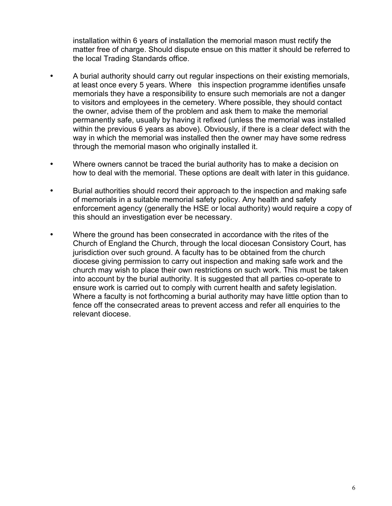installation within 6 years of installation the memorial mason must rectify the matter free of charge. Should dispute ensue on this matter it should be referred to the local Trading Standards office.

- A burial authority should carry out regular inspections on their existing memorials, at least once every 5 years. Where this inspection programme identifies unsafe memorials they have a responsibility to ensure such memorials are not a danger to visitors and employees in the cemetery. Where possible, they should contact the owner, advise them of the problem and ask them to make the memorial permanently safe, usually by having it refixed (unless the memorial was installed within the previous 6 years as above). Obviously, if there is a clear defect with the way in which the memorial was installed then the owner may have some redress through the memorial mason who originally installed it.
- Where owners cannot be traced the burial authority has to make a decision on how to deal with the memorial. These options are dealt with later in this guidance.
- Burial authorities should record their approach to the inspection and making safe of memorials in a suitable memorial safety policy. Any health and safety enforcement agency (generally the HSE or local authority) would require a copy of this should an investigation ever be necessary.
- Where the ground has been consecrated in accordance with the rites of the Church of England the Church, through the local diocesan Consistory Court, has jurisdiction over such ground. A faculty has to be obtained from the church diocese giving permission to carry out inspection and making safe work and the church may wish to place their own restrictions on such work. This must be taken into account by the burial authority. It is suggested that all parties co-operate to ensure work is carried out to comply with current health and safety legislation. Where a faculty is not forthcoming a burial authority may have little option than to fence off the consecrated areas to prevent access and refer all enquiries to the relevant diocese.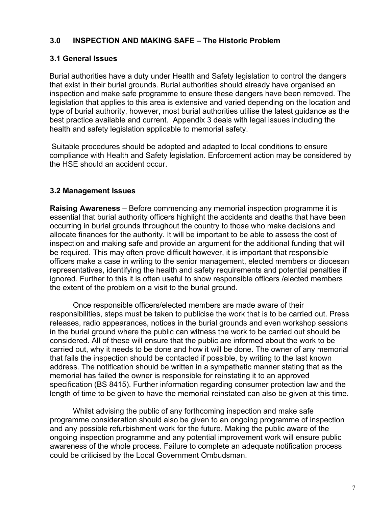## **3.0 INSPECTION AND MAKING SAFE – The Historic Problem**

# **3.1 General Issues**

Burial authorities have a duty under Health and Safety legislation to control the dangers that exist in their burial grounds. Burial authorities should already have organised an inspection and make safe programme to ensure these dangers have been removed. The legislation that applies to this area is extensive and varied depending on the location and type of burial authority, however, most burial authorities utilise the latest guidance as the best practice available and current. Appendix 3 deals with legal issues including the health and safety legislation applicable to memorial safety.

 Suitable procedures should be adopted and adapted to local conditions to ensure compliance with Health and Safety legislation. Enforcement action may be considered by the HSE should an accident occur.

# **3.2 Management Issues**

**Raising Awareness** – Before commencing any memorial inspection programme it is essential that burial authority officers highlight the accidents and deaths that have been occurring in burial grounds throughout the country to those who make decisions and allocate finances for the authority. It will be important to be able to assess the cost of inspection and making safe and provide an argument for the additional funding that will be required. This may often prove difficult however, it is important that responsible officers make a case in writing to the senior management, elected members or diocesan representatives, identifying the health and safety requirements and potential penalties if ignored. Further to this it is often useful to show responsible officers /elected members the extent of the problem on a visit to the burial ground.

Once responsible officers/elected members are made aware of their responsibilities, steps must be taken to publicise the work that is to be carried out. Press releases, radio appearances, notices in the burial grounds and even workshop sessions in the burial ground where the public can witness the work to be carried out should be considered. All of these will ensure that the public are informed about the work to be carried out, why it needs to be done and how it will be done. The owner of any memorial that fails the inspection should be contacted if possible, by writing to the last known address. The notification should be written in a sympathetic manner stating that as the memorial has failed the owner is responsible for reinstating it to an approved specification (BS 8415). Further information regarding consumer protection law and the length of time to be given to have the memorial reinstated can also be given at this time.

Whilst advising the public of any forthcoming inspection and make safe programme consideration should also be given to an ongoing programme of inspection and any possible refurbishment work for the future. Making the public aware of the ongoing inspection programme and any potential improvement work will ensure public awareness of the whole process. Failure to complete an adequate notification process could be criticised by the Local Government Ombudsman.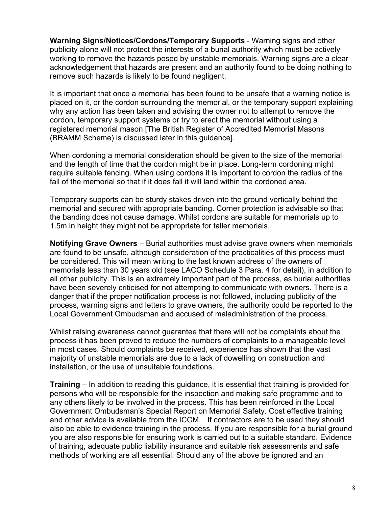**Warning Signs/Notices/Cordons/Temporary Supports** - Warning signs and other publicity alone will not protect the interests of a burial authority which must be actively working to remove the hazards posed by unstable memorials. Warning signs are a clear acknowledgement that hazards are present and an authority found to be doing nothing to remove such hazards is likely to be found negligent.

It is important that once a memorial has been found to be unsafe that a warning notice is placed on it, or the cordon surrounding the memorial, or the temporary support explaining why any action has been taken and advising the owner not to attempt to remove the cordon, temporary support systems or try to erect the memorial without using a registered memorial mason [The British Register of Accredited Memorial Masons (BRAMM Scheme) is discussed later in this guidance].

When cordoning a memorial consideration should be given to the size of the memorial and the length of time that the cordon might be in place. Long-term cordoning might require suitable fencing. When using cordons it is important to cordon the radius of the fall of the memorial so that if it does fall it will land within the cordoned area.

Temporary supports can be sturdy stakes driven into the ground vertically behind the memorial and secured with appropriate banding. Corner protection is advisable so that the banding does not cause damage. Whilst cordons are suitable for memorials up to 1.5m in height they might not be appropriate for taller memorials.

**Notifying Grave Owners** – Burial authorities must advise grave owners when memorials are found to be unsafe, although consideration of the practicalities of this process must be considered. This will mean writing to the last known address of the owners of memorials less than 30 years old (see LACO Schedule 3 Para. 4 for detail), in addition to all other publicity. This is an extremely important part of the process, as burial authorities have been severely criticised for not attempting to communicate with owners. There is a danger that if the proper notification process is not followed, including publicity of the process, warning signs and letters to grave owners, the authority could be reported to the Local Government Ombudsman and accused of maladministration of the process.

Whilst raising awareness cannot guarantee that there will not be complaints about the process it has been proved to reduce the numbers of complaints to a manageable level in most cases. Should complaints be received, experience has shown that the vast majority of unstable memorials are due to a lack of dowelling on construction and installation, or the use of unsuitable foundations.

**Training** – In addition to reading this guidance, it is essential that training is provided for persons who will be responsible for the inspection and making safe programme and to any others likely to be involved in the process. This has been reinforced in the Local Government Ombudsman's Special Report on Memorial Safety. Cost effective training and other advice is available from the ICCM. If contractors are to be used they should also be able to evidence training in the process. If you are responsible for a burial ground you are also responsible for ensuring work is carried out to a suitable standard. Evidence of training, adequate public liability insurance and suitable risk assessments and safe methods of working are all essential. Should any of the above be ignored and an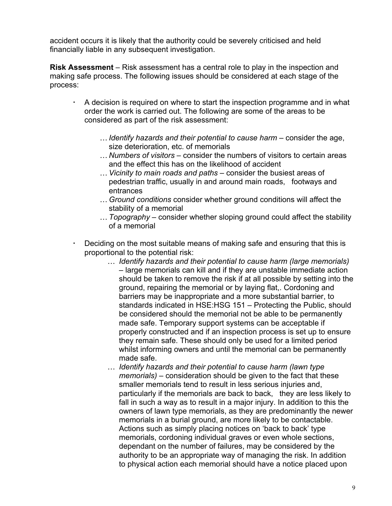accident occurs it is likely that the authority could be severely criticised and held financially liable in any subsequent investigation.

**Risk Assessment** – Risk assessment has a central role to play in the inspection and making safe process. The following issues should be considered at each stage of the process:

- A decision is required on where to start the inspection programme and in what order the work is carried out. The following are some of the areas to be considered as part of the risk assessment:
	- … *Identify hazards and their potential to cause harm* consider the age, size deterioration, etc. of memorials
	- … *Numbers of visitors* consider the numbers of visitors to certain areas and the effect this has on the likelihood of accident
	- … *Vicinity to main roads and paths* consider the busiest areas of pedestrian traffic, usually in and around main roads, footways and entrances
	- … *Ground conditions* consider whether ground conditions will affect the stability of a memorial
	- … *Topography* consider whether sloping ground could affect the stability of a memorial
- Deciding on the most suitable means of making safe and ensuring that this is proportional to the potential risk:
	- … *Identify hazards and their potential to cause harm (large memorials)* – large memorials can kill and if they are unstable immediate action should be taken to remove the risk if at all possible by setting into the ground, repairing the memorial or by laying flat,. Cordoning and barriers may be inappropriate and a more substantial barrier, to standards indicated in HSE:HSG 151 – Protecting the Public, should be considered should the memorial not be able to be permanently made safe. Temporary support systems can be acceptable if properly constructed and if an inspection process is set up to ensure they remain safe. These should only be used for a limited period whilst informing owners and until the memorial can be permanently made safe.
	- … *Identify hazards and their potential to cause harm (lawn type memorials)* – consideration should be given to the fact that these smaller memorials tend to result in less serious injuries and, particularly if the memorials are back to back, they are less likely to fall in such a way as to result in a major injury. In addition to this the owners of lawn type memorials, as they are predominantly the newer memorials in a burial ground, are more likely to be contactable. Actions such as simply placing notices on 'back to back' type memorials, cordoning individual graves or even whole sections, dependant on the number of failures, may be considered by the authority to be an appropriate way of managing the risk. In addition to physical action each memorial should have a notice placed upon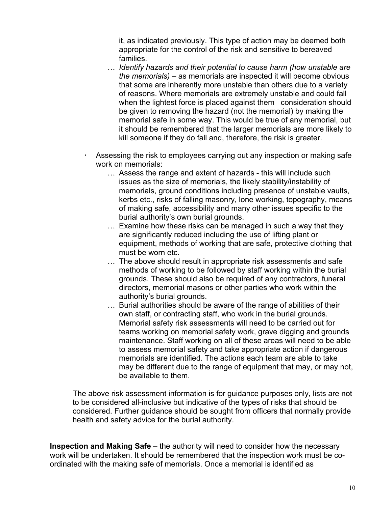it, as indicated previously. This type of action may be deemed both appropriate for the control of the risk and sensitive to bereaved families.

- … *Identify hazards and their potential to cause harm (how unstable are the memorials)* – as memorials are inspected it will become obvious that some are inherently more unstable than others due to a variety of reasons. Where memorials are extremely unstable and could fall when the lightest force is placed against them consideration should be given to removing the hazard (not the memorial) by making the memorial safe in some way. This would be true of any memorial, but it should be remembered that the larger memorials are more likely to kill someone if they do fall and, therefore, the risk is greater.
- Assessing the risk to employees carrying out any inspection or making safe work on memorials:
	- … Assess the range and extent of hazards this will include such issues as the size of memorials, the likely stability/instability of memorials, ground conditions including presence of unstable vaults, kerbs etc., risks of falling masonry, lone working, topography, means of making safe, accessibility and many other issues specific to the burial authority's own burial grounds.
	- … Examine how these risks can be managed in such a way that they are significantly reduced including the use of lifting plant or equipment, methods of working that are safe, protective clothing that must be worn etc.
	- … The above should result in appropriate risk assessments and safe methods of working to be followed by staff working within the burial grounds. These should also be required of any contractors, funeral directors, memorial masons or other parties who work within the authority's burial grounds.
	- … Burial authorities should be aware of the range of abilities of their own staff, or contracting staff, who work in the burial grounds. Memorial safety risk assessments will need to be carried out for teams working on memorial safety work, grave digging and grounds maintenance. Staff working on all of these areas will need to be able to assess memorial safety and take appropriate action if dangerous memorials are identified. The actions each team are able to take may be different due to the range of equipment that may, or may not, be available to them.

The above risk assessment information is for guidance purposes only, lists are not to be considered all-inclusive but indicative of the types of risks that should be considered. Further guidance should be sought from officers that normally provide health and safety advice for the burial authority.

**Inspection and Making Safe** – the authority will need to consider how the necessary work will be undertaken. It should be remembered that the inspection work must be coordinated with the making safe of memorials. Once a memorial is identified as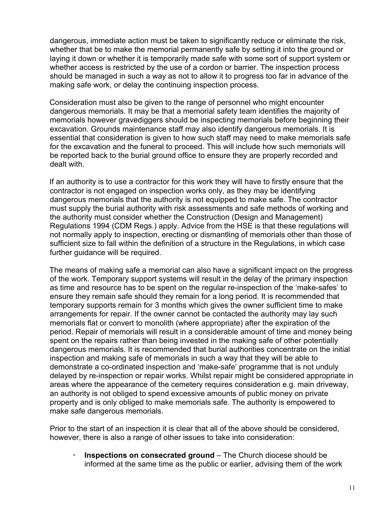dangerous, immediate action must be taken to significantly reduce or eliminate the risk, whether that be to make the memorial permanently safe by setting it into the ground or laying it down or whether it is temporarily made safe with some sort of support system or whether access is restricted by the use of a cordon or barrier. The inspection process should be managed in such a way as not to allow it to progress too far in advance of the making safe work, or delay the continuing inspection process.

Consideration must also be given to the range of personnel who might encounter dangerous memorials. It may be that a memorial safety team identifies the majority of memorials however gravediggers should be inspecting memorials before beginning their excavation. Grounds maintenance staff may also identify dangerous memorials. It is essential that consideration is given to how such staff may need to make memorials safe for the excavation and the funeral to proceed. This will include how such memorials will be reported back to the burial ground office to ensure they are properly recorded and dealt with.

If an authority is to use a contractor for this work they will have to firstly ensure that the contractor is not engaged on inspection works only, as they may be identifying dangerous memorials that the authority is not equipped to make safe. The contractor must supply the burial authority with risk assessments and safe methods of working and the authority must consider whether the Construction (Design and Management) Regulations 1994 (CDM Regs.) apply. Advice from the HSE is that these regulations will not normally apply to inspection, erecting or dismantling of memorials other than those of sufficient size to fall within the definition of a structure in the Regulations, in which case further guidance will be required.

The means of making safe a memorial can also have a significant impact on the progress of the work. Temporary support systems will result in the delay of the primary inspection as time and resource has to be spent on the regular re-inspection of the 'make-safes' to ensure they remain safe should they remain for a long period. It is recommended that temporary supports remain for 3 months which gives the owner sufficient time to make arrangements for repair. If the owner cannot be contacted the authority may lay such memorials flat or convert to monolith (where appropriate) after the expiration of the period. Repair of memorials will result in a considerable amount of time and money being spent on the repairs rather than being invested in the making safe of other potentially dangerous memorials. It is recommended that burial authorities concentrate on the initial inspection and making safe of memorials in such a way that they will be able to demonstrate a co-ordinated inspection and 'make-safe' programme that is not unduly delayed by re-inspection or repair works. Whilst repair might be considered appropriate in areas where the appearance of the cemetery requires consideration e.g. main driveway, an authority is not obliged to spend excessive amounts of public money on private property and is only obliged to make memorials safe. The authority is empowered to make safe dangerous memorials.

Prior to the start of an inspection it is clear that all of the above should be considered, however, there is also a range of other issues to take into consideration:

 **Inspections on consecrated ground** – The Church diocese should be informed at the same time as the public or earlier, advising them of the work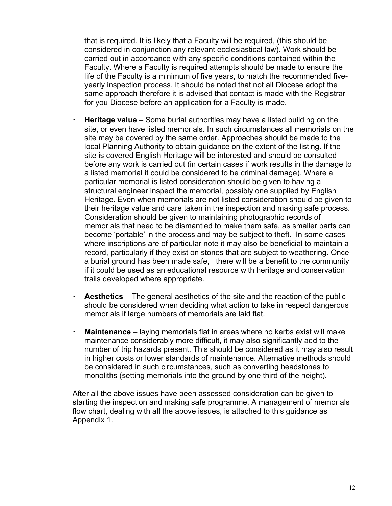that is required. It is likely that a Faculty will be required, (this should be considered in conjunction any relevant ecclesiastical law). Work should be carried out in accordance with any specific conditions contained within the Faculty. Where a Faculty is required attempts should be made to ensure the life of the Faculty is a minimum of five years, to match the recommended fiveyearly inspection process. It should be noted that not all Diocese adopt the same approach therefore it is advised that contact is made with the Registrar for you Diocese before an application for a Faculty is made.

- **Heritage value** Some burial authorities may have a listed building on the site, or even have listed memorials. In such circumstances all memorials on the site may be covered by the same order. Approaches should be made to the local Planning Authority to obtain guidance on the extent of the listing. If the site is covered English Heritage will be interested and should be consulted before any work is carried out (in certain cases if work results in the damage to a listed memorial it could be considered to be criminal damage). Where a particular memorial is listed consideration should be given to having a structural engineer inspect the memorial, possibly one supplied by English Heritage. Even when memorials are not listed consideration should be given to their heritage value and care taken in the inspection and making safe process. Consideration should be given to maintaining photographic records of memorials that need to be dismantled to make them safe, as smaller parts can become 'portable' in the process and may be subject to theft. In some cases where inscriptions are of particular note it may also be beneficial to maintain a record, particularly if they exist on stones that are subject to weathering. Once a burial ground has been made safe, there will be a benefit to the community if it could be used as an educational resource with heritage and conservation trails developed where appropriate.
- **Aesthetics** The general aesthetics of the site and the reaction of the public should be considered when deciding what action to take in respect dangerous memorials if large numbers of memorials are laid flat.
- **Maintenance** laying memorials flat in areas where no kerbs exist will make maintenance considerably more difficult, it may also significantly add to the number of trip hazards present. This should be considered as it may also result in higher costs or lower standards of maintenance. Alternative methods should be considered in such circumstances, such as converting headstones to monoliths (setting memorials into the ground by one third of the height).

After all the above issues have been assessed consideration can be given to starting the inspection and making safe programme. A management of memorials flow chart, dealing with all the above issues, is attached to this guidance as Appendix 1.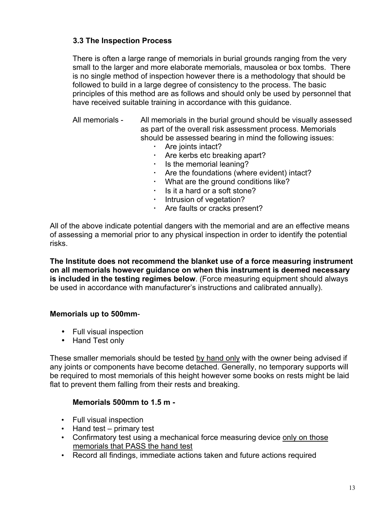# **3.3 The Inspection Process**

There is often a large range of memorials in burial grounds ranging from the very small to the larger and more elaborate memorials, mausolea or box tombs. There is no single method of inspection however there is a methodology that should be followed to build in a large degree of consistency to the process. The basic principles of this method are as follows and should only be used by personnel that have received suitable training in accordance with this guidance.

All memorials - All memorials in the burial ground should be visually assessed as part of the overall risk assessment process. Memorials should be assessed bearing in mind the following issues:

- Are joints intact?
- Are kerbs etc breaking apart?
- $\cdot$  Is the memorial leaning?
- Are the foundations (where evident) intact?
- What are the ground conditions like?
- $\cdot$  Is it a hard or a soft stone?
- **Intrusion of vegetation?**
- Are faults or cracks present?

All of the above indicate potential dangers with the memorial and are an effective means of assessing a memorial prior to any physical inspection in order to identify the potential risks.

**The Institute does not recommend the blanket use of a force measuring instrument on all memorials however guidance on when this instrument is deemed necessary is included in the testing regimes below**. (Force measuring equipment should always be used in accordance with manufacturer's instructions and calibrated annually).

## **Memorials up to 500mm**-

- Full visual inspection
- Hand Test only

These smaller memorials should be tested by hand only with the owner being advised if any joints or components have become detached. Generally, no temporary supports will be required to most memorials of this height however some books on rests might be laid flat to prevent them falling from their rests and breaking.

# **Memorials 500mm to 1.5 m -**

- Full visual inspection
- Hand test primary test
- Confirmatory test using a mechanical force measuring device only on those memorials that PASS the hand test
- Record all findings, immediate actions taken and future actions required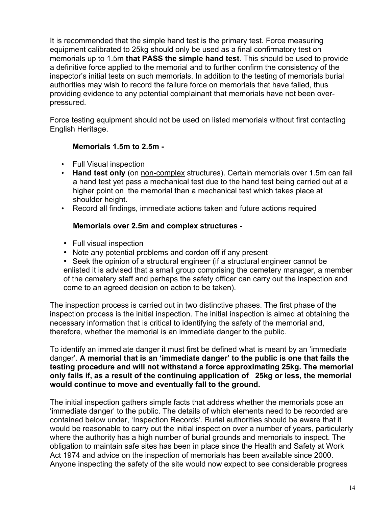It is recommended that the simple hand test is the primary test. Force measuring equipment calibrated to 25kg should only be used as a final confirmatory test on memorials up to 1.5m **that PASS the simple hand test**. This should be used to provide a definitive force applied to the memorial and to further confirm the consistency of the inspector's initial tests on such memorials. In addition to the testing of memorials burial authorities may wish to record the failure force on memorials that have failed, thus providing evidence to any potential complainant that memorials have not been overpressured.

Force testing equipment should not be used on listed memorials without first contacting English Heritage.

## **Memorials 1.5m to 2.5m -**

- Full Visual inspection
- **Hand test only** (on non-complex structures). Certain memorials over 1.5m can fail a hand test yet pass a mechanical test due to the hand test being carried out at a higher point on the memorial than a mechanical test which takes place at shoulder height.
- Record all findings, immediate actions taken and future actions required

# **Memorials over 2.5m and complex structures -**

- Full visual inspection
- Note any potential problems and cordon off if any present
- Seek the opinion of a structural engineer (if a structural engineer cannot be enlisted it is advised that a small group comprising the cemetery manager, a member of the cemetery staff and perhaps the safety officer can carry out the inspection and come to an agreed decision on action to be taken).

The inspection process is carried out in two distinctive phases. The first phase of the inspection process is the initial inspection. The initial inspection is aimed at obtaining the necessary information that is critical to identifying the safety of the memorial and, therefore, whether the memorial is an immediate danger to the public.

To identify an immediate danger it must first be defined what is meant by an 'immediate danger'. **A memorial that is an 'immediate danger' to the public is one that fails the testing procedure and will not withstand a force approximating 25kg. The memorial only fails if, as a result of the continuing application of 25kg or less, the memorial would continue to move and eventually fall to the ground.**

The initial inspection gathers simple facts that address whether the memorials pose an 'immediate danger' to the public. The details of which elements need to be recorded are contained below under, 'Inspection Records'. Burial authorities should be aware that it would be reasonable to carry out the initial inspection over a number of years, particularly where the authority has a high number of burial grounds and memorials to inspect. The obligation to maintain safe sites has been in place since the Health and Safety at Work Act 1974 and advice on the inspection of memorials has been available since 2000. Anyone inspecting the safety of the site would now expect to see considerable progress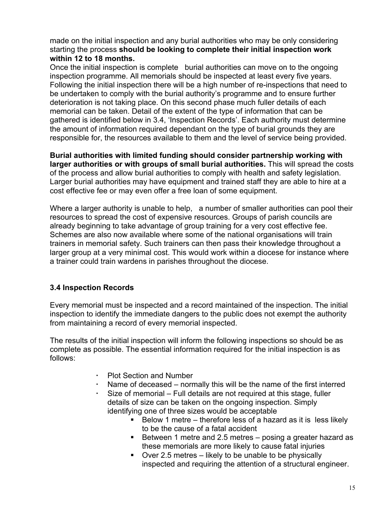made on the initial inspection and any burial authorities who may be only considering starting the process **should be looking to complete their initial inspection work within 12 to 18 months.** 

Once the initial inspection is complete burial authorities can move on to the ongoing inspection programme. All memorials should be inspected at least every five years. Following the initial inspection there will be a high number of re-inspections that need to be undertaken to comply with the burial authority's programme and to ensure further deterioration is not taking place. On this second phase much fuller details of each memorial can be taken. Detail of the extent of the type of information that can be gathered is identified below in 3.4, 'Inspection Records'. Each authority must determine the amount of information required dependant on the type of burial grounds they are responsible for, the resources available to them and the level of service being provided.

**Burial authorities with limited funding should consider partnership working with larger authorities or with groups of small burial authorities.** This will spread the costs of the process and allow burial authorities to comply with health and safety legislation. Larger burial authorities may have equipment and trained staff they are able to hire at a cost effective fee or may even offer a free loan of some equipment.

Where a larger authority is unable to help, a number of smaller authorities can pool their resources to spread the cost of expensive resources. Groups of parish councils are already beginning to take advantage of group training for a very cost effective fee. Schemes are also now available where some of the national organisations will train trainers in memorial safety. Such trainers can then pass their knowledge throughout a larger group at a very minimal cost. This would work within a diocese for instance where a trainer could train wardens in parishes throughout the diocese.

# **3.4 Inspection Records**

Every memorial must be inspected and a record maintained of the inspection. The initial inspection to identify the immediate dangers to the public does not exempt the authority from maintaining a record of every memorial inspected.

The results of the initial inspection will inform the following inspections so should be as complete as possible. The essential information required for the initial inspection is as follows:

- Plot Section and Number
- Name of deceased normally this will be the name of the first interred
- Size of memorial Full details are not required at this stage, fuller details of size can be taken on the ongoing inspection. Simply identifying one of three sizes would be acceptable
	- $\blacksquare$  Below 1 metre therefore less of a hazard as it is less likely to be the cause of a fatal accident
	- Between 1 metre and 2.5 metres posing a greater hazard as these memorials are more likely to cause fatal injuries
	- $\bullet$  Over 2.5 metres likely to be unable to be physically inspected and requiring the attention of a structural engineer.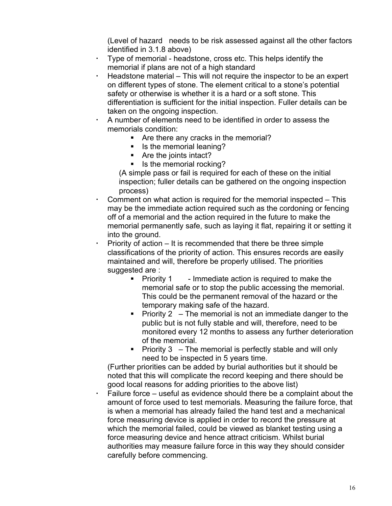(Level of hazard needs to be risk assessed against all the other factors identified in 3.1.8 above)

- Type of memorial headstone, cross etc. This helps identify the memorial if plans are not of a high standard
- $\cdot$  Headstone material This will not require the inspector to be an expert on different types of stone. The element critical to a stone's potential safety or otherwise is whether it is a hard or a soft stone. This differentiation is sufficient for the initial inspection. Fuller details can be taken on the ongoing inspection.
- A number of elements need to be identified in order to assess the memorials condition:
	- **Are there any cracks in the memorial?**
	- Is the memorial leaning?
	- Are the joints intact?
	- Is the memorial rocking?

(A simple pass or fail is required for each of these on the initial inspection; fuller details can be gathered on the ongoing inspection process)

- Comment on what action is required for the memorial inspected This may be the immediate action required such as the cordoning or fencing off of a memorial and the action required in the future to make the memorial permanently safe, such as laying it flat, repairing it or setting it into the ground.
- Priority of action It is recommended that there be three simple classifications of the priority of action. This ensures records are easily maintained and will, therefore be properly utilised. The priorities suggested are :
	- **Priority 1** Immediate action is required to make the memorial safe or to stop the public accessing the memorial. This could be the permanent removal of the hazard or the temporary making safe of the hazard.
	- Priority  $2 -$  The memorial is not an immediate danger to the public but is not fully stable and will, therefore, need to be monitored every 12 months to assess any further deterioration of the memorial.
	- Priority  $3 -$  The memorial is perfectly stable and will only need to be inspected in 5 years time.

(Further priorities can be added by burial authorities but it should be noted that this will complicate the record keeping and there should be good local reasons for adding priorities to the above list)

 Failure force – useful as evidence should there be a complaint about the amount of force used to test memorials. Measuring the failure force, that is when a memorial has already failed the hand test and a mechanical force measuring device is applied in order to record the pressure at which the memorial failed, could be viewed as blanket testing using a force measuring device and hence attract criticism. Whilst burial authorities may measure failure force in this way they should consider carefully before commencing.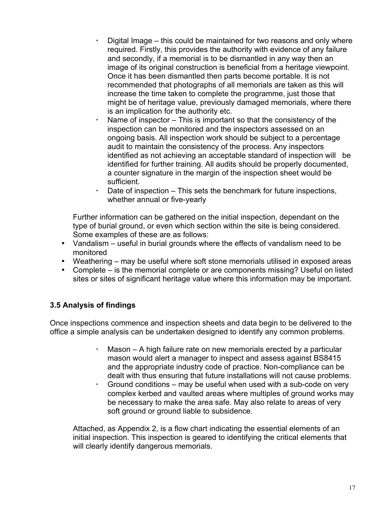- Digital Image this could be maintained for two reasons and only where required. Firstly, this provides the authority with evidence of any failure and secondly, if a memorial is to be dismantled in any way then an image of its original construction is beneficial from a heritage viewpoint. Once it has been dismantled then parts become portable. It is not recommended that photographs of all memorials are taken as this will increase the time taken to complete the programme, just those that might be of heritage value, previously damaged memorials, where there is an implication for the authority etc.
- Name of inspector  $-$  This is important so that the consistency of the inspection can be monitored and the inspectors assessed on an ongoing basis. All inspection work should be subject to a percentage audit to maintain the consistency of the process. Any inspectors identified as not achieving an acceptable standard of inspection will be identified for further training. All audits should be properly documented, a counter signature in the margin of the inspection sheet would be sufficient.
- Date of inspection This sets the benchmark for future inspections, whether annual or five-yearly

Further information can be gathered on the initial inspection, dependant on the type of burial ground, or even which section within the site is being considered. Some examples of these are as follows:

- Vandalism useful in burial grounds where the effects of vandalism need to be monitored
- Weathering may be useful where soft stone memorials utilised in exposed areas
- Complete is the memorial complete or are components missing? Useful on listed sites or sites of significant heritage value where this information may be important.

# **3.5 Analysis of findings**

Once inspections commence and inspection sheets and data begin to be delivered to the office a simple analysis can be undertaken designed to identify any common problems.

- Mason A high failure rate on new memorials erected by a particular mason would alert a manager to inspect and assess against BS8415 and the appropriate industry code of practice. Non-compliance can be dealt with thus ensuring that future installations will not cause problems.
- Ground conditions may be useful when used with a sub-code on very complex kerbed and vaulted areas where multiples of ground works may be necessary to make the area safe. May also relate to areas of very soft ground or ground liable to subsidence.

Attached, as Appendix 2, is a flow chart indicating the essential elements of an initial inspection. This inspection is geared to identifying the critical elements that will clearly identify dangerous memorials.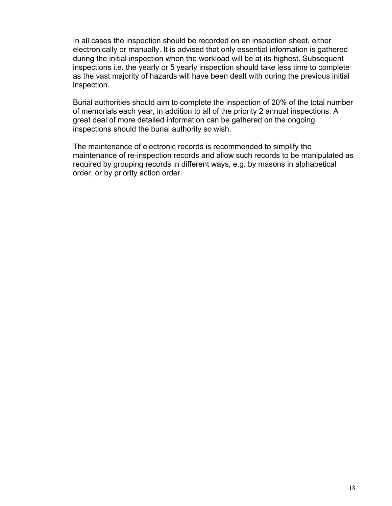In all cases the inspection should be recorded on an inspection sheet, either electronically or manually. It is advised that only essential information is gathered during the initial inspection when the workload will be at its highest. Subsequent inspections i.e. the yearly or 5 yearly inspection should take less time to complete as the vast majority of hazards will have been dealt with during the previous initial inspection.

Burial authorities should aim to complete the inspection of 20% of the total number of memorials each year, in addition to all of the priority 2 annual inspections. A great deal of more detailed information can be gathered on the ongoing inspections should the burial authority so wish.

The maintenance of electronic records is recommended to simplify the maintenance of re-inspection records and allow such records to be manipulated as required by grouping records in different ways, e.g. by masons in alphabetical order, or by priority action order.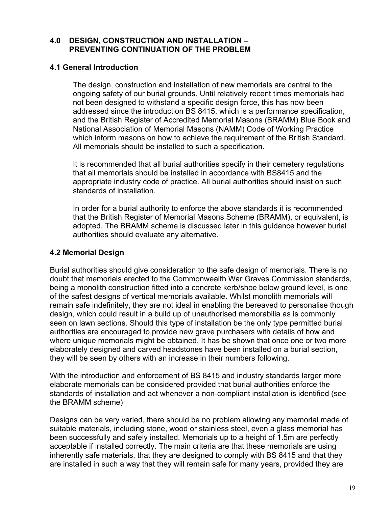## **4.0 DESIGN, CONSTRUCTION AND INSTALLATION – PREVENTING CONTINUATION OF THE PROBLEM**

## **4.1 General Introduction**

The design, construction and installation of new memorials are central to the ongoing safety of our burial grounds. Until relatively recent times memorials had not been designed to withstand a specific design force, this has now been addressed since the introduction BS 8415, which is a performance specification, and the British Register of Accredited Memorial Masons (BRAMM) Blue Book and National Association of Memorial Masons (NAMM) Code of Working Practice which inform masons on how to achieve the requirement of the British Standard. All memorials should be installed to such a specification.

It is recommended that all burial authorities specify in their cemetery regulations that all memorials should be installed in accordance with BS8415 and the appropriate industry code of practice. All burial authorities should insist on such standards of installation.

In order for a burial authority to enforce the above standards it is recommended that the British Register of Memorial Masons Scheme (BRAMM), or equivalent, is adopted. The BRAMM scheme is discussed later in this guidance however burial authorities should evaluate any alternative.

# **4.2 Memorial Design**

Burial authorities should give consideration to the safe design of memorials. There is no doubt that memorials erected to the Commonwealth War Graves Commission standards, being a monolith construction fitted into a concrete kerb/shoe below ground level, is one of the safest designs of vertical memorials available. Whilst monolith memorials will remain safe indefinitely, they are not ideal in enabling the bereaved to personalise though design, which could result in a build up of unauthorised memorabilia as is commonly seen on lawn sections. Should this type of installation be the only type permitted burial authorities are encouraged to provide new grave purchasers with details of how and where unique memorials might be obtained. It has be shown that once one or two more elaborately designed and carved headstones have been installed on a burial section, they will be seen by others with an increase in their numbers following.

With the introduction and enforcement of BS 8415 and industry standards larger more elaborate memorials can be considered provided that burial authorities enforce the standards of installation and act whenever a non-compliant installation is identified (see the BRAMM scheme)

Designs can be very varied, there should be no problem allowing any memorial made of suitable materials, including stone, wood or stainless steel, even a glass memorial has been successfully and safely installed. Memorials up to a height of 1.5m are perfectly acceptable if installed correctly. The main criteria are that these memorials are using inherently safe materials, that they are designed to comply with BS 8415 and that they are installed in such a way that they will remain safe for many years, provided they are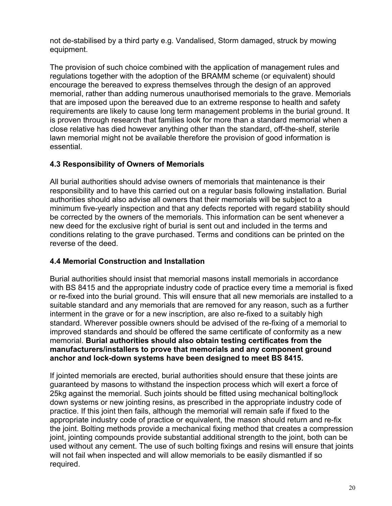not de-stabilised by a third party e.g. Vandalised, Storm damaged, struck by mowing equipment.

The provision of such choice combined with the application of management rules and regulations together with the adoption of the BRAMM scheme (or equivalent) should encourage the bereaved to express themselves through the design of an approved memorial, rather than adding numerous unauthorised memorials to the grave. Memorials that are imposed upon the bereaved due to an extreme response to health and safety requirements are likely to cause long term management problems in the burial ground. It is proven through research that families look for more than a standard memorial when a close relative has died however anything other than the standard, off-the-shelf, sterile lawn memorial might not be available therefore the provision of good information is essential.

# **4.3 Responsibility of Owners of Memorials**

All burial authorities should advise owners of memorials that maintenance is their responsibility and to have this carried out on a regular basis following installation. Burial authorities should also advise all owners that their memorials will be subject to a minimum five-yearly inspection and that any defects reported with regard stability should be corrected by the owners of the memorials. This information can be sent whenever a new deed for the exclusive right of burial is sent out and included in the terms and conditions relating to the grave purchased. Terms and conditions can be printed on the reverse of the deed.

# **4.4 Memorial Construction and Installation**

Burial authorities should insist that memorial masons install memorials in accordance with BS 8415 and the appropriate industry code of practice every time a memorial is fixed or re-fixed into the burial ground. This will ensure that all new memorials are installed to a suitable standard and any memorials that are removed for any reason, such as a further interment in the grave or for a new inscription, are also re-fixed to a suitably high standard. Wherever possible owners should be advised of the re-fixing of a memorial to improved standards and should be offered the same certificate of conformity as a new memorial. **Burial authorities should also obtain testing certificates from the manufacturers/installers to prove that memorials and any component ground anchor and lock-down systems have been designed to meet BS 8415.**

If jointed memorials are erected, burial authorities should ensure that these joints are guaranteed by masons to withstand the inspection process which will exert a force of 25kg against the memorial. Such joints should be fitted using mechanical bolting/lock down systems or new jointing resins, as prescribed in the appropriate industry code of practice. If this joint then fails, although the memorial will remain safe if fixed to the appropriate industry code of practice or equivalent, the mason should return and re-fix the joint. Bolting methods provide a mechanical fixing method that creates a compression joint, jointing compounds provide substantial additional strength to the joint, both can be used without any cement. The use of such bolting fixings and resins will ensure that joints will not fail when inspected and will allow memorials to be easily dismantled if so required.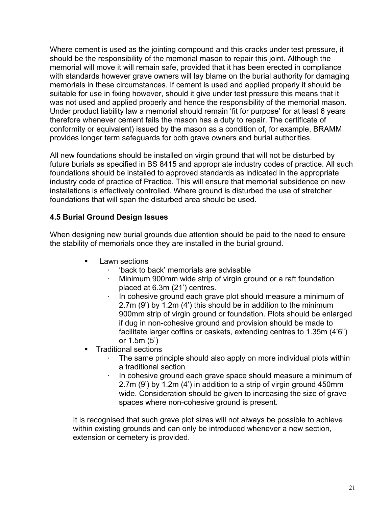Where cement is used as the jointing compound and this cracks under test pressure, it should be the responsibility of the memorial mason to repair this joint. Although the memorial will move it will remain safe, provided that it has been erected in compliance with standards however grave owners will lay blame on the burial authority for damaging memorials in these circumstances. If cement is used and applied properly it should be suitable for use in fixing however, should it give under test pressure this means that it was not used and applied properly and hence the responsibility of the memorial mason. Under product liability law a memorial should remain 'fit for purpose' for at least 6 years therefore whenever cement fails the mason has a duty to repair. The certificate of conformity or equivalent) issued by the mason as a condition of, for example, BRAMM provides longer term safeguards for both grave owners and burial authorities.

All new foundations should be installed on virgin ground that will not be disturbed by future burials as specified in BS 8415 and appropriate industry codes of practice. All such foundations should be installed to approved standards as indicated in the appropriate industry code of practice of Practice. This will ensure that memorial subsidence on new installations is effectively controlled. Where ground is disturbed the use of stretcher foundations that will span the disturbed area should be used.

# **4.5 Burial Ground Design Issues**

When designing new burial grounds due attention should be paid to the need to ensure the stability of memorials once they are installed in the burial ground.

- **Lawn sections** 
	- ⋅ 'back to back' memorials are advisable
	- Minimum 900mm wide strip of virgin ground or a raft foundation placed at 6.3m (21') centres.
	- In cohesive ground each grave plot should measure a minimum of 2.7m (9') by 1.2m (4') this should be in addition to the minimum 900mm strip of virgin ground or foundation. Plots should be enlarged if dug in non-cohesive ground and provision should be made to facilitate larger coffins or caskets, extending centres to 1.35m (4'6") or 1.5m (5')
- **Traditional sections** 
	- The same principle should also apply on more individual plots within a traditional section
	- In cohesive ground each grave space should measure a minimum of 2.7m (9') by 1.2m (4') in addition to a strip of virgin ground 450mm wide. Consideration should be given to increasing the size of grave spaces where non-cohesive ground is present.

It is recognised that such grave plot sizes will not always be possible to achieve within existing grounds and can only be introduced whenever a new section, extension or cemetery is provided.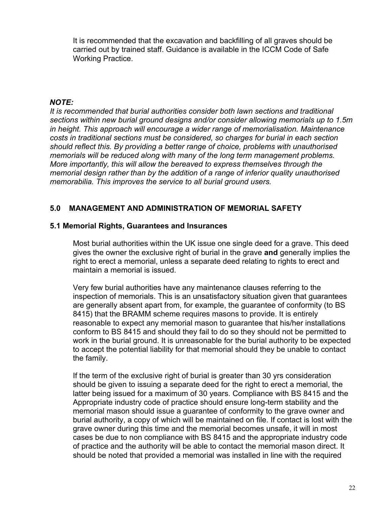It is recommended that the excavation and backfilling of all graves should be carried out by trained staff. Guidance is available in the ICCM Code of Safe Working Practice.

## *NOTE:*

*It is recommended that burial authorities consider both lawn sections and traditional sections within new burial ground designs and/or consider allowing memorials up to 1.5m in height. This approach will encourage a wider range of memorialisation. Maintenance costs in traditional sections must be considered, so charges for burial in each section should reflect this. By providing a better range of choice, problems with unauthorised memorials will be reduced along with many of the long term management problems. More importantly, this will allow the bereaved to express themselves through the memorial design rather than by the addition of a range of inferior quality unauthorised memorabilia. This improves the service to all burial ground users.*

# **5.0 MANAGEMENT AND ADMINISTRATION OF MEMORIAL SAFETY**

## **5.1 Memorial Rights, Guarantees and Insurances**

Most burial authorities within the UK issue one single deed for a grave. This deed gives the owner the exclusive right of burial in the grave **and** generally implies the right to erect a memorial, unless a separate deed relating to rights to erect and maintain a memorial is issued.

Very few burial authorities have any maintenance clauses referring to the inspection of memorials. This is an unsatisfactory situation given that guarantees are generally absent apart from, for example, the guarantee of conformity (to BS 8415) that the BRAMM scheme requires masons to provide. It is entirely reasonable to expect any memorial mason to guarantee that his/her installations conform to BS 8415 and should they fail to do so they should not be permitted to work in the burial ground. It is unreasonable for the burial authority to be expected to accept the potential liability for that memorial should they be unable to contact the family.

If the term of the exclusive right of burial is greater than 30 yrs consideration should be given to issuing a separate deed for the right to erect a memorial, the latter being issued for a maximum of 30 years. Compliance with BS 8415 and the Appropriate industry code of practice should ensure long-term stability and the memorial mason should issue a guarantee of conformity to the grave owner and burial authority, a copy of which will be maintained on file. If contact is lost with the grave owner during this time and the memorial becomes unsafe, it will in most cases be due to non compliance with BS 8415 and the appropriate industry code of practice and the authority will be able to contact the memorial mason direct. It should be noted that provided a memorial was installed in line with the required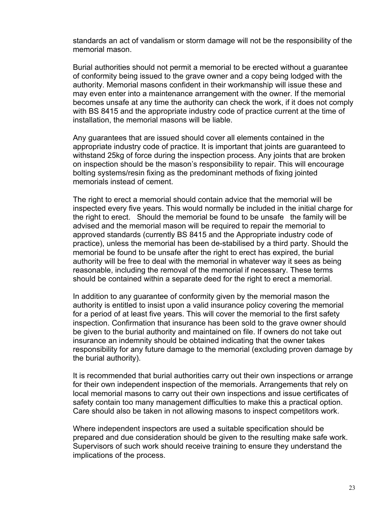standards an act of vandalism or storm damage will not be the responsibility of the memorial mason.

Burial authorities should not permit a memorial to be erected without a guarantee of conformity being issued to the grave owner and a copy being lodged with the authority. Memorial masons confident in their workmanship will issue these and may even enter into a maintenance arrangement with the owner. If the memorial becomes unsafe at any time the authority can check the work, if it does not comply with BS 8415 and the appropriate industry code of practice current at the time of installation, the memorial masons will be liable.

Any guarantees that are issued should cover all elements contained in the appropriate industry code of practice. It is important that joints are guaranteed to withstand 25kg of force during the inspection process. Any joints that are broken on inspection should be the mason's responsibility to repair. This will encourage bolting systems/resin fixing as the predominant methods of fixing jointed memorials instead of cement.

The right to erect a memorial should contain advice that the memorial will be inspected every five years. This would normally be included in the initial charge for the right to erect. Should the memorial be found to be unsafe the family will be advised and the memorial mason will be required to repair the memorial to approved standards (currently BS 8415 and the Appropriate industry code of practice), unless the memorial has been de-stabilised by a third party. Should the memorial be found to be unsafe after the right to erect has expired, the burial authority will be free to deal with the memorial in whatever way it sees as being reasonable, including the removal of the memorial if necessary. These terms should be contained within a separate deed for the right to erect a memorial.

In addition to any guarantee of conformity given by the memorial mason the authority is entitled to insist upon a valid insurance policy covering the memorial for a period of at least five years. This will cover the memorial to the first safety inspection. Confirmation that insurance has been sold to the grave owner should be given to the burial authority and maintained on file. If owners do not take out insurance an indemnity should be obtained indicating that the owner takes responsibility for any future damage to the memorial (excluding proven damage by the burial authority).

It is recommended that burial authorities carry out their own inspections or arrange for their own independent inspection of the memorials. Arrangements that rely on local memorial masons to carry out their own inspections and issue certificates of safety contain too many management difficulties to make this a practical option. Care should also be taken in not allowing masons to inspect competitors work.

Where independent inspectors are used a suitable specification should be prepared and due consideration should be given to the resulting make safe work. Supervisors of such work should receive training to ensure they understand the implications of the process.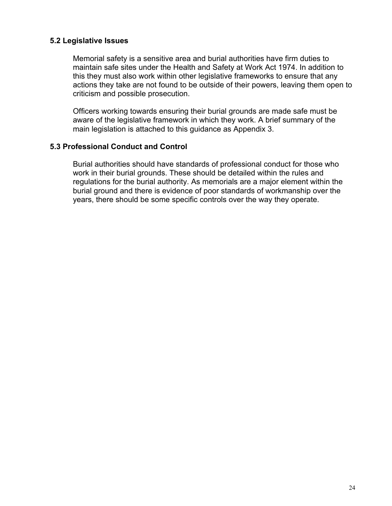## **5.2 Legislative Issues**

Memorial safety is a sensitive area and burial authorities have firm duties to maintain safe sites under the Health and Safety at Work Act 1974. In addition to this they must also work within other legislative frameworks to ensure that any actions they take are not found to be outside of their powers, leaving them open to criticism and possible prosecution.

Officers working towards ensuring their burial grounds are made safe must be aware of the legislative framework in which they work. A brief summary of the main legislation is attached to this guidance as Appendix 3.

## **5.3 Professional Conduct and Control**

Burial authorities should have standards of professional conduct for those who work in their burial grounds. These should be detailed within the rules and regulations for the burial authority. As memorials are a major element within the burial ground and there is evidence of poor standards of workmanship over the years, there should be some specific controls over the way they operate.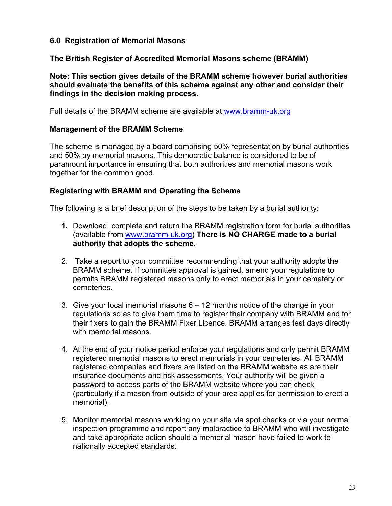## **6.0 Registration of Memorial Masons**

## **The British Register of Accredited Memorial Masons scheme (BRAMM)**

**Note: This section gives details of the BRAMM scheme however burial authorities should evaluate the benefits of this scheme against any other and consider their findings in the decision making process.**

Full details of the BRAMM scheme are available at www.bramm-uk.org

## **Management of the BRAMM Scheme**

The scheme is managed by a board comprising 50% representation by burial authorities and 50% by memorial masons. This democratic balance is considered to be of paramount importance in ensuring that both authorities and memorial masons work together for the common good.

## **Registering with BRAMM and Operating the Scheme**

The following is a brief description of the steps to be taken by a burial authority:

- **1.** Download, complete and return the BRAMM registration form for burial authorities (available from www.bramm-uk.org) **There is NO CHARGE made to a burial authority that adopts the scheme.**
- 2. Take a report to your committee recommending that your authority adopts the BRAMM scheme. If committee approval is gained, amend your regulations to permits BRAMM registered masons only to erect memorials in your cemetery or cemeteries.
- 3. Give your local memorial masons 6 12 months notice of the change in your regulations so as to give them time to register their company with BRAMM and for their fixers to gain the BRAMM Fixer Licence. BRAMM arranges test days directly with memorial masons.
- 4. At the end of your notice period enforce your regulations and only permit BRAMM registered memorial masons to erect memorials in your cemeteries. All BRAMM registered companies and fixers are listed on the BRAMM website as are their insurance documents and risk assessments. Your authority will be given a password to access parts of the BRAMM website where you can check (particularly if a mason from outside of your area applies for permission to erect a memorial).
- 5. Monitor memorial masons working on your site via spot checks or via your normal inspection programme and report any malpractice to BRAMM who will investigate and take appropriate action should a memorial mason have failed to work to nationally accepted standards.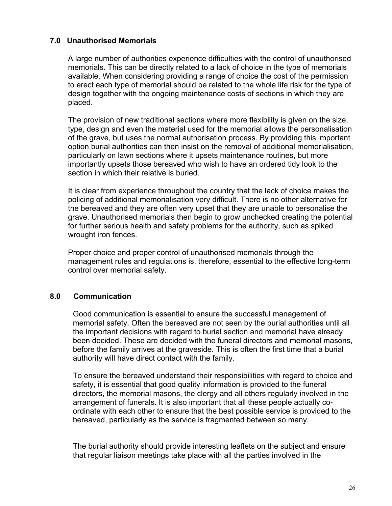# **7.0 Unauthorised Memorials**

A large number of authorities experience difficulties with the control of unauthorised memorials. This can be directly related to a lack of choice in the type of memorials available. When considering providing a range of choice the cost of the permission to erect each type of memorial should be related to the whole life risk for the type of design together with the ongoing maintenance costs of sections in which they are placed.

The provision of new traditional sections where more flexibility is given on the size, type, design and even the material used for the memorial allows the personalisation of the grave, but uses the normal authorisation process. By providing this important option burial authorities can then insist on the removal of additional memorialisation, particularly on lawn sections where it upsets maintenance routines, but more importantly upsets those bereaved who wish to have an ordered tidy look to the section in which their relative is buried.

It is clear from experience throughout the country that the lack of choice makes the policing of additional memorialisation very difficult. There is no other alternative for the bereaved and they are often very upset that they are unable to personalise the grave. Unauthorised memorials then begin to grow unchecked creating the potential for further serious health and safety problems for the authority, such as spiked wrought iron fences.

Proper choice and proper control of unauthorised memorials through the management rules and regulations is, therefore, essential to the effective long-term control over memorial safety.

## **8.0 Communication**

Good communication is essential to ensure the successful management of memorial safety. Often the bereaved are not seen by the burial authorities until all the important decisions with regard to burial section and memorial have already been decided. These are decided with the funeral directors and memorial masons, before the family arrives at the graveside. This is often the first time that a burial authority will have direct contact with the family.

To ensure the bereaved understand their responsibilities with regard to choice and safety, it is essential that good quality information is provided to the funeral directors, the memorial masons, the clergy and all others regularly involved in the arrangement of funerals. It is also important that all these people actually coordinate with each other to ensure that the best possible service is provided to the bereaved, particularly as the service is fragmented between so many.

The burial authority should provide interesting leaflets on the subject and ensure that regular liaison meetings take place with all the parties involved in the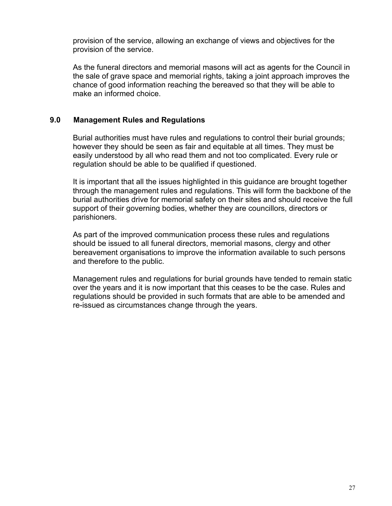provision of the service, allowing an exchange of views and objectives for the provision of the service.

As the funeral directors and memorial masons will act as agents for the Council in the sale of grave space and memorial rights, taking a joint approach improves the chance of good information reaching the bereaved so that they will be able to make an informed choice.

## **9.0 Management Rules and Regulations**

Burial authorities must have rules and regulations to control their burial grounds; however they should be seen as fair and equitable at all times. They must be easily understood by all who read them and not too complicated. Every rule or regulation should be able to be qualified if questioned.

It is important that all the issues highlighted in this guidance are brought together through the management rules and regulations. This will form the backbone of the burial authorities drive for memorial safety on their sites and should receive the full support of their governing bodies, whether they are councillors, directors or parishioners.

As part of the improved communication process these rules and regulations should be issued to all funeral directors, memorial masons, clergy and other bereavement organisations to improve the information available to such persons and therefore to the public.

Management rules and regulations for burial grounds have tended to remain static over the years and it is now important that this ceases to be the case. Rules and regulations should be provided in such formats that are able to be amended and re-issued as circumstances change through the years.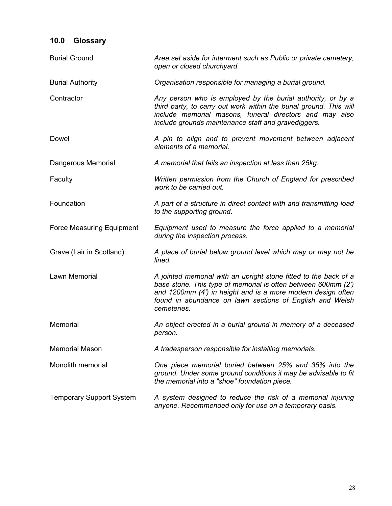| 10.0                            | <b>Glossary</b> |                                                                                                                                                                                                                                                                             |
|---------------------------------|-----------------|-----------------------------------------------------------------------------------------------------------------------------------------------------------------------------------------------------------------------------------------------------------------------------|
| <b>Burial Ground</b>            |                 | Area set aside for interment such as Public or private cemetery,<br>open or closed churchyard.                                                                                                                                                                              |
| <b>Burial Authority</b>         |                 | Organisation responsible for managing a burial ground.                                                                                                                                                                                                                      |
| Contractor                      |                 | Any person who is employed by the burial authority, or by a<br>third party, to carry out work within the burial ground. This will<br>include memorial masons, funeral directors and may also<br>include grounds maintenance staff and gravediggers.                         |
| Dowel                           |                 | A pin to align and to prevent movement between adjacent<br>elements of a memorial.                                                                                                                                                                                          |
| Dangerous Memorial              |                 | A memorial that fails an inspection at less than 25kg.                                                                                                                                                                                                                      |
| Faculty                         |                 | Written permission from the Church of England for prescribed<br>work to be carried out.                                                                                                                                                                                     |
| Foundation                      |                 | A part of a structure in direct contact with and transmitting load<br>to the supporting ground.                                                                                                                                                                             |
| Force Measuring Equipment       |                 | Equipment used to measure the force applied to a memorial<br>during the inspection process.                                                                                                                                                                                 |
| Grave (Lair in Scotland)        |                 | A place of burial below ground level which may or may not be<br>lined.                                                                                                                                                                                                      |
| Lawn Memorial                   |                 | A jointed memorial with an upright stone fitted to the back of a<br>base stone. This type of memorial is often between 600mm (2')<br>and 1200mm (4') in height and is a more modern design often<br>found in abundance on lawn sections of English and Welsh<br>cemeteries. |
| Memorial                        |                 | An object erected in a burial ground in memory of a deceased<br>person.                                                                                                                                                                                                     |
| <b>Memorial Mason</b>           |                 | A tradesperson responsible for installing memorials.                                                                                                                                                                                                                        |
| Monolith memorial               |                 | One piece memorial buried between 25% and 35% into the<br>ground. Under some ground conditions it may be advisable to fit<br>the memorial into a "shoe" foundation piece.                                                                                                   |
| <b>Temporary Support System</b> |                 | A system designed to reduce the risk of a memorial injuring<br>anyone. Recommended only for use on a temporary basis.                                                                                                                                                       |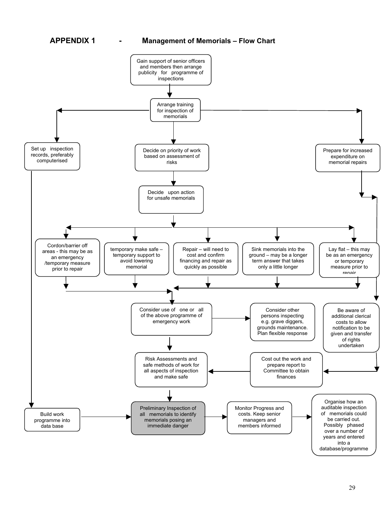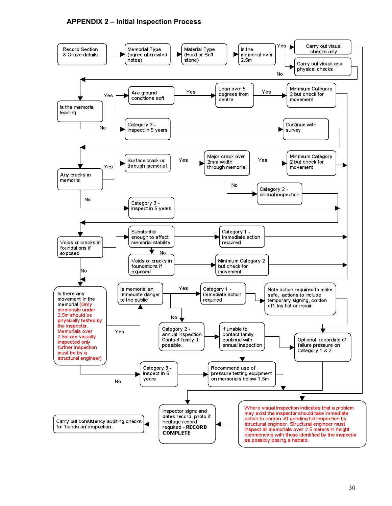## **APPENDIX 2 – Initial Inspection Process**

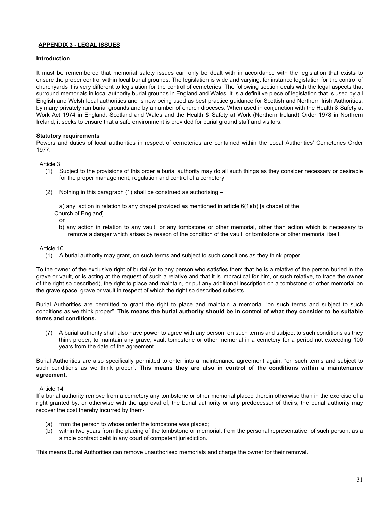## **APPENDIX 3 - LEGAL ISSUES**

#### **Introduction**

It must be remembered that memorial safety issues can only be dealt with in accordance with the legislation that exists to ensure the proper control within local burial grounds. The legislation is wide and varying, for instance legislation for the control of churchyards it is very different to legislation for the control of cemeteries. The following section deals with the legal aspects that surround memorials in local authority burial grounds in England and Wales. It is a definitive piece of legislation that is used by all English and Welsh local authorities and is now being used as best practice guidance for Scottish and Northern Irish Authorities, by many privately run burial grounds and by a number of church dioceses. When used in conjunction with the Health & Safety at Work Act 1974 in England, Scotland and Wales and the Health & Safety at Work (Northern Ireland) Order 1978 in Northern Ireland, it seeks to ensure that a safe environment is provided for burial ground staff and visitors.

#### **Statutory requirements**

Powers and duties of local authorities in respect of cemeteries are contained within the Local Authorities' Cemeteries Order 1977.

#### Article 3

- (1) Subject to the provisions of this order a burial authority may do all such things as they consider necessary or desirable for the proper management, regulation and control of a cemetery.
- (2) Nothing in this paragraph (1) shall be construed as authorising –

a) any action in relation to any chapel provided as mentioned in article  $6(1)(b)$  [a chapel of the Church of England].

- or
- b) any action in relation to any vault, or any tombstone or other memorial, other than action which is necessary to remove a danger which arises by reason of the condition of the vault, or tombstone or other memorial itself.

#### Article 10

(1) A burial authority may grant, on such terms and subject to such conditions as they think proper.

To the owner of the exclusive right of burial (or to any person who satisfies them that he is a relative of the person buried in the grave or vault, or is acting at the request of such a relative and that it is impractical for him, or such relative, to trace the owner of the right so described), the right to place and maintain, or put any additional inscription on a tombstone or other memorial on the grave space, grave or vault in respect of which the right so described subsists.

Burial Authorities are permitted to grant the right to place and maintain a memorial "on such terms and subject to such conditions as we think proper". **This means the burial authority should be in control of what they consider to be suitable terms and conditions.**

(7) A burial authority shall also have power to agree with any person, on such terms and subject to such conditions as they think proper, to maintain any grave, vault tombstone or other memorial in a cemetery for a period not exceeding 100 years from the date of the agreement.

Burial Authorities are also specifically permitted to enter into a maintenance agreement again, "on such terms and subject to such conditions as we think proper". **This means they are also in control of the conditions within a maintenance agreement**.

#### Article 14

If a burial authority remove from a cemetery any tombstone or other memorial placed therein otherwise than in the exercise of a right granted by, or otherwise with the approval of, the burial authority or any predecessor of theirs, the burial authority may recover the cost thereby incurred by them-

- (a) from the person to whose order the tombstone was placed;
- (b) within two years from the placing of the tombstone or memorial, from the personal representative of such person, as a simple contract debt in any court of competent jurisdiction.

This means Burial Authorities can remove unauthorised memorials and charge the owner for their removal.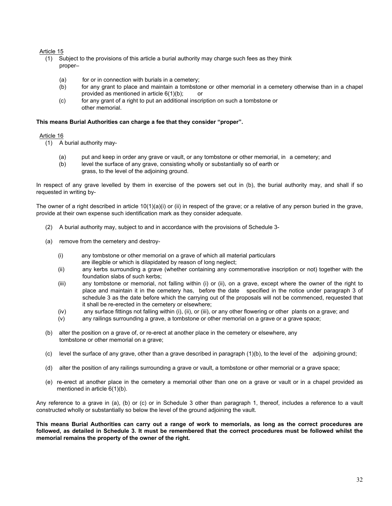#### Article 15

- (1) Subject to the provisions of this article a burial authority may charge such fees as they think proper–
	- (a) for or in connection with burials in a cemetery;
	- (b) for any grant to place and maintain a tombstone or other memorial in a cemetery otherwise than in a chapel provided as mentioned in article  $6(1)(b)$ ; or
	- (c) for any grant of a right to put an additional inscription on such a tombstone or other memorial.

#### **This means Burial Authorities can charge a fee that they consider "proper".**

#### Article 16

- (1) A burial authority may-
	- (a) put and keep in order any grave or vault, or any tombstone or other memorial, in a cemetery; and
	- (b) level the surface of any grave, consisting wholly or substantially so of earth or
		- grass, to the level of the adjoining ground.

In respect of any grave levelled by them in exercise of the powers set out in (b), the burial authority may, and shall if so requested in writing by-

The owner of a right described in article  $10(1)(a)(i)$  or (ii) in respect of the grave; or a relative of any person buried in the grave, provide at their own expense such identification mark as they consider adequate.

- (2) A burial authority may, subject to and in accordance with the provisions of Schedule 3-
- (a) remove from the cemetery and destroy-
	- (i) any tombstone or other memorial on a grave of which all material particulars are illegible or which is dilapidated by reason of long neglect;
	- (ii) any kerbs surrounding a grave (whether containing any commemorative inscription or not) together with the foundation slabs of such kerbs;
	- (iii) any tombstone or memorial, not falling within (i) or (ii), on a grave, except where the owner of the right to place and maintain it in the cemetery has, before the date specified in the notice under paragraph 3 of schedule 3 as the date before which the carrying out of the proposals will not be commenced, requested that it shall be re-erected in the cemetery or elsewhere;
	- (iv) any surface fittings not falling within (i), (ii), or (iii), or any other flowering or other plants on a grave; and
	- (v) any railings surrounding a grave, a tombstone or other memorial on a grave or a grave space;
- (b) alter the position on a grave of, or re-erect at another place in the cemetery or elsewhere, any tombstone or other memorial on a grave;
- (c) level the surface of any grave, other than a grave described in paragraph (1)(b), to the level of the adjoining ground;
- (d) alter the position of any railings surrounding a grave or vault, a tombstone or other memorial or a grave space;
- (e) re-erect at another place in the cemetery a memorial other than one on a grave or vault or in a chapel provided as mentioned in article 6(1)(b).

Any reference to a grave in (a), (b) or (c) or in Schedule 3 other than paragraph 1, thereof, includes a reference to a vault constructed wholly or substantially so below the level of the ground adjoining the vault.

**This means Burial Authorities can carry out a range of work to memorials, as long as the correct procedures are followed, as detailed in Schedule 3. It must be remembered that the correct procedures must be followed whilst the memorial remains the property of the owner of the right.**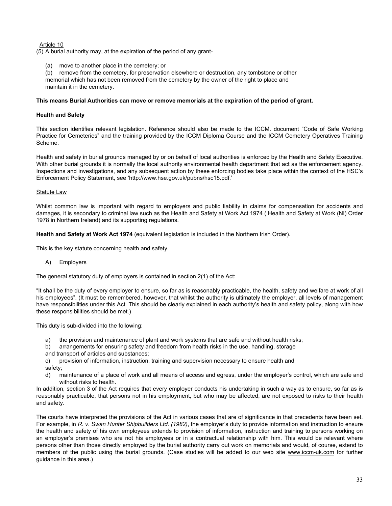#### Article 10

(5) A burial authority may, at the expiration of the period of any grant-

move to another place in the cemetery; or

(b) remove from the cemetery, for preservation elsewhere or destruction, any tombstone or other memorial which has not been removed from the cemetery by the owner of the right to place and maintain it in the cemetery.

#### **This means Burial Authorities can move or remove memorials at the expiration of the period of grant.**

### **Health and Safety**

This section identifies relevant legislation. Reference should also be made to the ICCM. document "Code of Safe Working Practice for Cemeteries" and the training provided by the ICCM Diploma Course and the ICCM Cemetery Operatives Training Scheme.

Health and safety in burial grounds managed by or on behalf of local authorities is enforced by the Health and Safety Executive. With other burial grounds it is normally the local authority environmental health department that act as the enforcement agency. Inspections and investigations, and any subsequent action by these enforcing bodies take place within the context of the HSC's Enforcement Policy Statement, see 'http://www.hse.gov.uk/pubns/hsc15.pdf.'

#### Statute Law

Whilst common law is important with regard to employers and public liability in claims for compensation for accidents and damages, it is secondary to criminal law such as the Health and Safety at Work Act 1974 ( Health and Safety at Work (NI) Order 1978 in Northern Ireland) and its supporting regulations.

**Health and Safety at Work Act 1974** (equivalent legislation is included in the Northern Irish Order).

This is the key statute concerning health and safety.

## A) Employers

The general statutory duty of employers is contained in section 2(1) of the Act:

"It shall be the duty of every employer to ensure, so far as is reasonably practicable, the health, safety and welfare at work of all his employees". (It must be remembered, however, that whilst the authority is ultimately the employer, all levels of management have responsibilities under this Act. This should be clearly explained in each authority's health and safety policy, along with how these responsibilities should be met.)

This duty is sub-divided into the following:

- a) the provision and maintenance of plant and work systems that are safe and without health risks;
- b) arrangements for ensuring safety and freedom from health risks in the use, handling, storage and transport of articles and substances;
- c) provision of information, instruction, training and supervision necessary to ensure health and safety;
- d) maintenance of a place of work and all means of access and egress, under the employer's control, which are safe and without risks to health.

In addition, section 3 of the Act requires that every employer conducts his undertaking in such a way as to ensure, so far as is reasonably practicable, that persons not in his employment, but who may be affected, are not exposed to risks to their health and safety.

The courts have interpreted the provisions of the Act in various cases that are of significance in that precedents have been set. For example, in *R. v. Swan Hunter Shipbuilders Ltd. (1982)*, the employer's duty to provide information and instruction to ensure the health and safety of his own employees extends to provision of information, instruction and training to persons working on an employer's premises who are not his employees or in a contractual relationship with him. This would be relevant where persons other than those directly employed by the burial authority carry out work on memorials and would, of course, extend to members of the public using the burial grounds. (Case studies will be added to our web site www.iccm-uk.com for further guidance in this area.)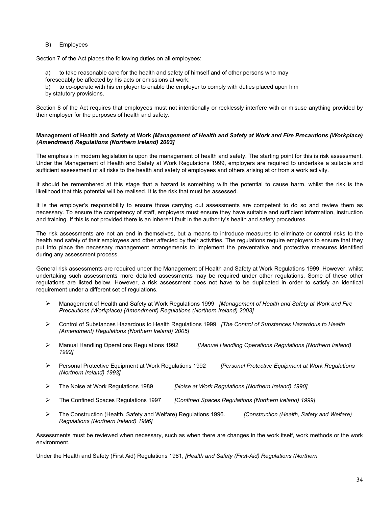#### B) Employees

Section 7 of the Act places the following duties on all employees:

- a) to take reasonable care for the health and safety of himself and of other persons who may
- foreseeably be affected by his acts or omissions at work;
- b) to co-operate with his employer to enable the employer to comply with duties placed upon him
- by statutory provisions.

Section 8 of the Act requires that employees must not intentionally or recklessly interfere with or misuse anything provided by their employer for the purposes of health and safety.

#### **Management of Health and Safety at Work** *[Management of Health and Safety at Work and Fire Precautions (Workplace) (Amendment) Regulations (Northern Ireland) 2003]*

The emphasis in modern legislation is upon the management of health and safety. The starting point for this is risk assessment. Under the Management of Health and Safety at Work Regulations 1999, employers are required to undertake a suitable and sufficient assessment of all risks to the health and safety of employees and others arising at or from a work activity.

It should be remembered at this stage that a hazard is something with the potential to cause harm, whilst the risk is the likelihood that this potential will be realised. It is the risk that must be assessed.

It is the employer's responsibility to ensure those carrying out assessments are competent to do so and review them as necessary. To ensure the competency of staff, employers must ensure they have suitable and sufficient information, instruction and training. If this is not provided there is an inherent fault in the authority's health and safety procedures.

The risk assessments are not an end in themselves, but a means to introduce measures to eliminate or control risks to the health and safety of their employees and other affected by their activities. The regulations require employers to ensure that they put into place the necessary management arrangements to implement the preventative and protective measures identified during any assessment process.

General risk assessments are required under the Management of Health and Safety at Work Regulations 1999. However, whilst undertaking such assessments more detailed assessments may be required under other regulations. Some of these other regulations are listed below. However, a risk assessment does not have to be duplicated in order to satisfy an identical requirement under a different set of regulations.

- Management of Health and Safety at Work Regulations 1999 *[Management of Health and Safety at Work and Fire Precautions (Workplace) (Amendment) Regulations (Northern Ireland) 2003]*
- Control of Substances Hazardous to Health Regulations 1999 *[The Control of Substances Hazardous to Health (Amendment) Regulations (Northern Ireland) 2005]*
- Manual Handling Operations Regulations 1992 *[Manual Handling Operations Regulations (Northern Ireland) 1992]*
- Personal Protective Equipment at Work Regulations 1992 *[Personal Protective Equipment at Work Regulations (Northern Ireland) 1993]*
- The Noise at Work Regulations 1989 *[Noise at Work Regulations (Northern Ireland) 1990]*
- The Confined Spaces Regulations 1997 *[Confined Spaces Regulations (Northern Ireland) 1999]*
- The Construction (Health, Safety and Welfare) Regulations 1996. *[Construction (Health, Safety and Welfare) Regulations (Northern Ireland) 1996]*

Assessments must be reviewed when necessary, such as when there are changes in the work itself, work methods or the work environment.

Under the Health and Safety (First Aid) Regulations 1981, *[Health and Safety (First-Aid) Regulations (Northern*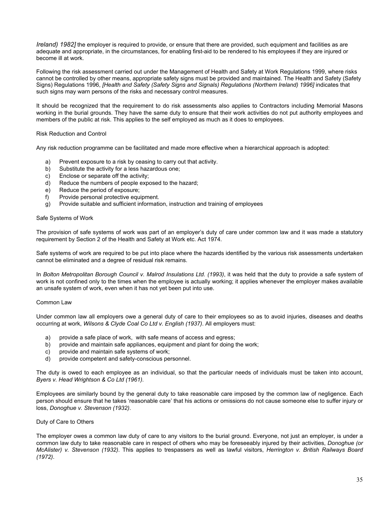*Ireland) 1982]* the employer is required to provide, or ensure that there are provided, such equipment and facilities as are adequate and appropriate, in the circumstances, for enabling first-aid to be rendered to his employees if they are injured or become ill at work.

Following the risk assessment carried out under the Management of Health and Safety at Work Regulations 1999, where risks cannot be controlled by other means, appropriate safety signs must be provided and maintained. The Health and Safety (Safety Signs) Regulations 1996, *[Health and Safety (Safety Signs and Signals) Regulations (Northern Ireland) 1996]* indicates that such signs may warn persons of the risks and necessary control measures.

It should be recognized that the requirement to do risk assessments also applies to Contractors including Memorial Masons working in the burial grounds. They have the same duty to ensure that their work activities do not put authority employees and members of the public at risk. This applies to the self employed as much as it does to employees.

Risk Reduction and Control

Any risk reduction programme can be facilitated and made more effective when a hierarchical approach is adopted:

- a) Prevent exposure to a risk by ceasing to carry out that activity.
- b) Substitute the activity for a less hazardous one;
- c) Enclose or separate off the activity;
- d) Reduce the numbers of people exposed to the hazard;
- e) Reduce the period of exposure;
- f) Provide personal protective equipment.
- g) Provide suitable and sufficient information, instruction and training of employees

#### Safe Systems of Work

The provision of safe systems of work was part of an employer's duty of care under common law and it was made a statutory requirement by Section 2 of the Health and Safety at Work etc. Act 1974.

Safe systems of work are required to be put into place where the hazards identified by the various risk assessments undertaken cannot be eliminated and a degree of residual risk remains.

In *Bolton Metropolitan Borough Council v. Malrod Insulations Ltd. (1993)*, it was held that the duty to provide a safe system of work is not confined only to the times when the employee is actually working; it applies whenever the employer makes available an unsafe system of work, even when it has not yet been put into use.

#### Common Law

Under common law all employers owe a general duty of care to their employees so as to avoid injuries, diseases and deaths occurring at work, *Wilsons & Clyde Coal Co Ltd v. English (1937)*. All employers must:

- a) provide a safe place of work, with safe means of access and egress;
- b) provide and maintain safe appliances, equipment and plant for doing the work;
- c) provide and maintain safe systems of work;
- d) provide competent and safety-conscious personnel.

The duty is owed to each employee as an individual, so that the particular needs of individuals must be taken into account, *Byers v. Head Wrightson & Co Ltd (1961)*.

Employees are similarly bound by the general duty to take reasonable care imposed by the common law of negligence. Each person should ensure that he takes 'reasonable care' that his actions or omissions do not cause someone else to suffer injury or loss, *Donoghue v. Stevenson (1932)*.

#### Duty of Care to Others

The employer owes a common law duty of care to any visitors to the burial ground. Everyone, not just an employer, is under a common law duty to take reasonable care in respect of others who may be foreseeably injured by their activities, *Donoghue (or McAlister) v. Stevenson (1932)*. This applies to trespassers as well as lawful visitors, *Herrington v. British Railways Board (1972)*.